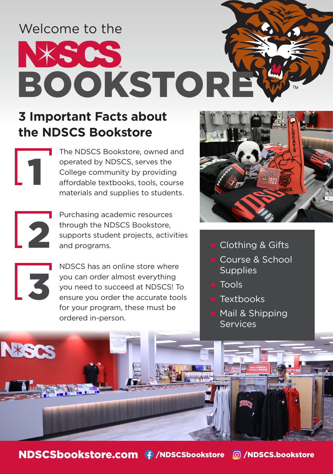# Welcome to the XSOS BOOKSTOR

# **3 Important Facts about the NDSCS Bookstore**

| 1

2

3

NESCS

The NDSCS Bookstore, owned and operated by NDSCS, serves the College community by providing affordable textbooks, tools, course materials and supplies to students.

Purchasing academic resources through the NDSCS Bookstore, supports student projects, activities and programs.

NDSCS has an online store where you can order almost everything you need to succeed at NDSCS! To ensure you order the accurate tools for your program, these must be ordered in-person.



- Clothing & Gifts
- Course & School **Supplies**
- Tools
- **Textbooks**
- Mail & Shipping **Services**

NDSCSbookstore.com + /NDSCSbookstore © /NDSCS.bookstore